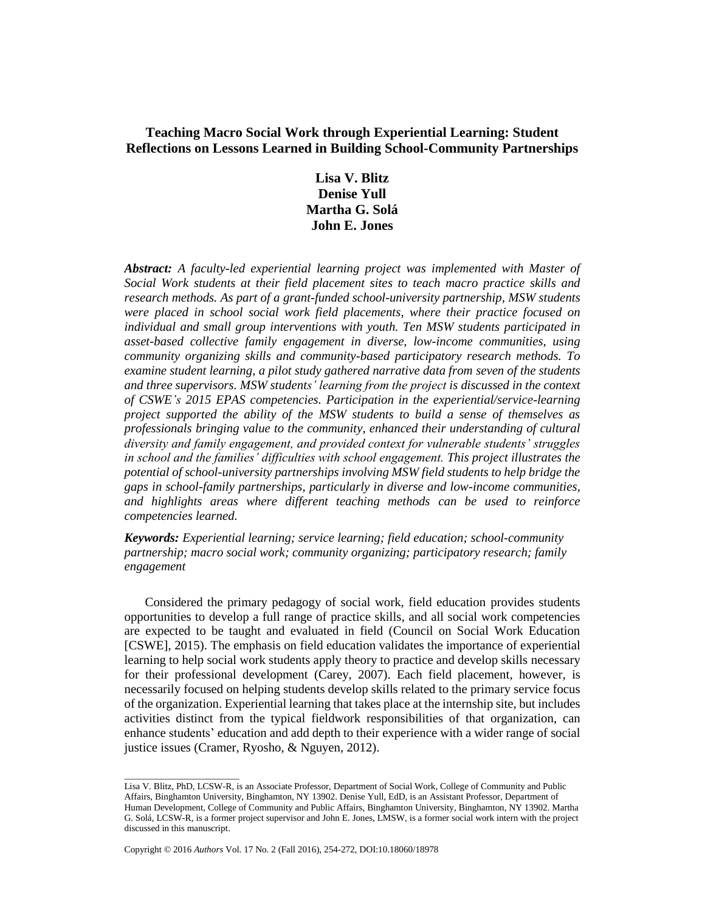# **Teaching Macro Social Work through Experiential Learning: Student Reflections on Lessons Learned in Building School-Community Partnerships**

**Lisa V. Blitz Denise Yull Martha G. Solá John E. Jones**

*Abstract: A faculty-led experiential learning project was implemented with Master of Social Work students at their field placement sites to teach macro practice skills and research methods. As part of a grant-funded school-university partnership, MSW students were placed in school social work field placements, where their practice focused on individual and small group interventions with youth. Ten MSW students participated in asset-based collective family engagement in diverse, low-income communities, using community organizing skills and community-based participatory research methods. To examine student learning, a pilot study gathered narrative data from seven of the students and three supervisors. MSW students' learning from the project is discussed in the context of CSWE's 2015 EPAS competencies. Participation in the experiential/service-learning project supported the ability of the MSW students to build a sense of themselves as professionals bringing value to the community, enhanced their understanding of cultural diversity and family engagement, and provided context for vulnerable students' struggles in school and the families' difficulties with school engagement. This project illustrates the potential of school-university partnerships involving MSW field students to help bridge the gaps in school-family partnerships, particularly in diverse and low-income communities, and highlights areas where different teaching methods can be used to reinforce competencies learned.*

*Keywords: Experiential learning; service learning; field education; school-community partnership; macro social work; community organizing; participatory research; family engagement*

Considered the primary pedagogy of social work, field education provides students opportunities to develop a full range of practice skills, and all social work competencies are expected to be taught and evaluated in field (Council on Social Work Education [CSWE], 2015). The emphasis on field education validates the importance of experiential learning to help social work students apply theory to practice and develop skills necessary for their professional development (Carey, 2007). Each field placement, however, is necessarily focused on helping students develop skills related to the primary service focus of the organization. Experiential learning that takes place at the internship site, but includes activities distinct from the typical fieldwork responsibilities of that organization, can enhance students' education and add depth to their experience with a wider range of social justice issues (Cramer, Ryosho, & Nguyen, 2012).

\_\_\_\_\_\_\_\_\_\_\_\_\_\_\_\_\_\_\_\_\_\_\_\_\_

Lisa V. Blitz, PhD, LCSW-R, is an Associate Professor, Department of Social Work, College of Community and Public Affairs, Binghamton University, Binghamton, NY 13902. Denise Yull, EdD, is an Assistant Professor, Department of Human Development, College of Community and Public Affairs, Binghamton University, Binghamton, NY 13902. Martha G. Solá, LCSW-R, is a former project supervisor and John E. Jones, LMSW, is a former social work intern with the project discussed in this manuscript.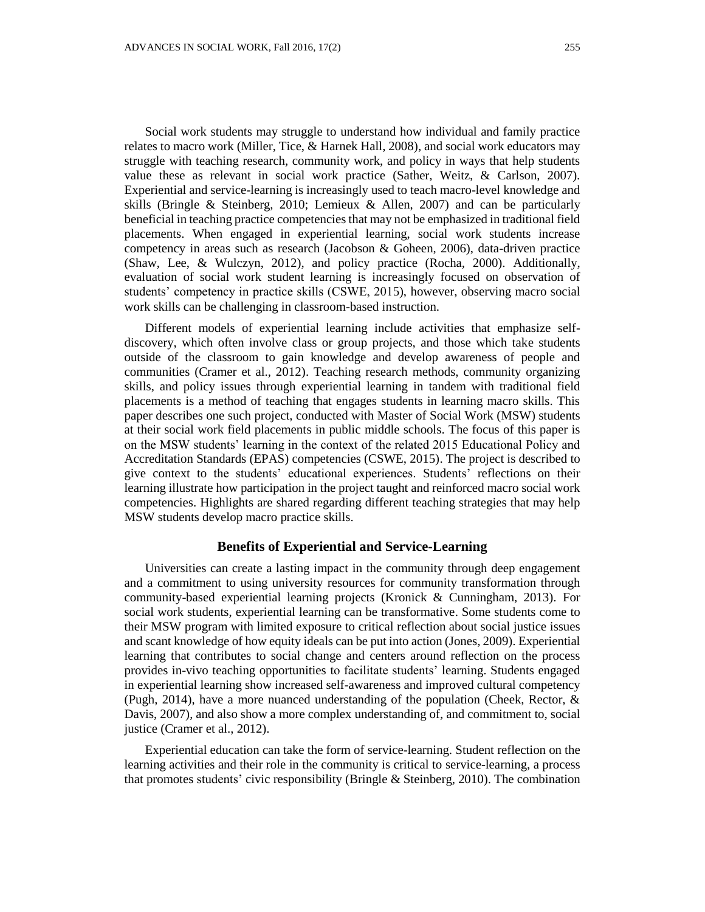Social work students may struggle to understand how individual and family practice relates to macro work (Miller, Tice, & Harnek Hall, 2008), and social work educators may struggle with teaching research, community work, and policy in ways that help students value these as relevant in social work practice (Sather, Weitz, & Carlson, 2007). Experiential and service-learning is increasingly used to teach macro-level knowledge and skills (Bringle & Steinberg, 2010; Lemieux & Allen, 2007) and can be particularly beneficial in teaching practice competencies that may not be emphasized in traditional field placements. When engaged in experiential learning, social work students increase competency in areas such as research (Jacobson & Goheen, 2006), data-driven practice (Shaw, Lee, & Wulczyn, 2012), and policy practice (Rocha, 2000). Additionally, evaluation of social work student learning is increasingly focused on observation of students' competency in practice skills (CSWE, 2015), however, observing macro social work skills can be challenging in classroom-based instruction.

Different models of experiential learning include activities that emphasize selfdiscovery, which often involve class or group projects, and those which take students outside of the classroom to gain knowledge and develop awareness of people and communities (Cramer et al., 2012). Teaching research methods, community organizing skills, and policy issues through experiential learning in tandem with traditional field placements is a method of teaching that engages students in learning macro skills. This paper describes one such project, conducted with Master of Social Work (MSW) students at their social work field placements in public middle schools. The focus of this paper is on the MSW students' learning in the context of the related 2015 Educational Policy and Accreditation Standards (EPAS) competencies (CSWE, 2015). The project is described to give context to the students' educational experiences. Students' reflections on their learning illustrate how participation in the project taught and reinforced macro social work competencies. Highlights are shared regarding different teaching strategies that may help MSW students develop macro practice skills.

## **Benefits of Experiential and Service-Learning**

Universities can create a lasting impact in the community through deep engagement and a commitment to using university resources for community transformation through community-based experiential learning projects (Kronick & Cunningham, 2013). For social work students, experiential learning can be transformative. Some students come to their MSW program with limited exposure to critical reflection about social justice issues and scant knowledge of how equity ideals can be put into action (Jones, 2009). Experiential learning that contributes to social change and centers around reflection on the process provides in-vivo teaching opportunities to facilitate students' learning. Students engaged in experiential learning show increased self-awareness and improved cultural competency (Pugh, 2014), have a more nuanced understanding of the population (Cheek, Rector, & Davis, 2007), and also show a more complex understanding of, and commitment to, social justice (Cramer et al., 2012).

Experiential education can take the form of service-learning. Student reflection on the learning activities and their role in the community is critical to service-learning, a process that promotes students' civic responsibility (Bringle & Steinberg, 2010). The combination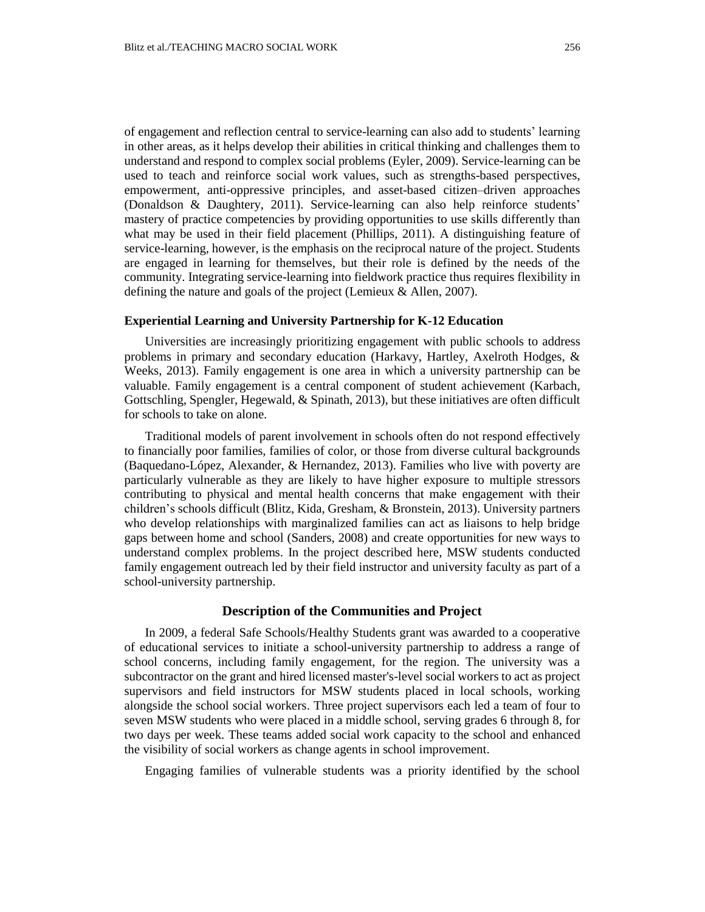of engagement and reflection central to service-learning can also add to students' learning in other areas, as it helps develop their abilities in critical thinking and challenges them to understand and respond to complex social problems (Eyler, 2009). Service-learning can be used to teach and reinforce social work values, such as strengths-based perspectives, empowerment, anti-oppressive principles, and asset-based citizen–driven approaches (Donaldson & Daughtery, 2011). Service-learning can also help reinforce students' mastery of practice competencies by providing opportunities to use skills differently than what may be used in their field placement (Phillips, 2011). A distinguishing feature of service-learning, however, is the emphasis on the reciprocal nature of the project. Students are engaged in learning for themselves, but their role is defined by the needs of the community. Integrating service-learning into fieldwork practice thus requires flexibility in defining the nature and goals of the project (Lemieux & Allen, 2007).

## **Experiential Learning and University Partnership for K-12 Education**

Universities are increasingly prioritizing engagement with public schools to address problems in primary and secondary education (Harkavy, Hartley, Axelroth Hodges, & Weeks, 2013). Family engagement is one area in which a university partnership can be valuable. Family engagement is a central component of student achievement (Karbach, Gottschling, Spengler, Hegewald, & Spinath, 2013), but these initiatives are often difficult for schools to take on alone.

Traditional models of parent involvement in schools often do not respond effectively to financially poor families, families of color, or those from diverse cultural backgrounds (Baquedano-López, Alexander, & Hernandez, 2013). Families who live with poverty are particularly vulnerable as they are likely to have higher exposure to multiple stressors contributing to physical and mental health concerns that make engagement with their children's schools difficult (Blitz, Kida, Gresham, & Bronstein, 2013). University partners who develop relationships with marginalized families can act as liaisons to help bridge gaps between home and school (Sanders, 2008) and create opportunities for new ways to understand complex problems. In the project described here, MSW students conducted family engagement outreach led by their field instructor and university faculty as part of a school-university partnership.

### **Description of the Communities and Project**

In 2009, a federal Safe Schools/Healthy Students grant was awarded to a cooperative of educational services to initiate a school-university partnership to address a range of school concerns, including family engagement, for the region. The university was a subcontractor on the grant and hired licensed master's-level social workers to act as project supervisors and field instructors for MSW students placed in local schools, working alongside the school social workers. Three project supervisors each led a team of four to seven MSW students who were placed in a middle school, serving grades 6 through 8, for two days per week. These teams added social work capacity to the school and enhanced the visibility of social workers as change agents in school improvement.

Engaging families of vulnerable students was a priority identified by the school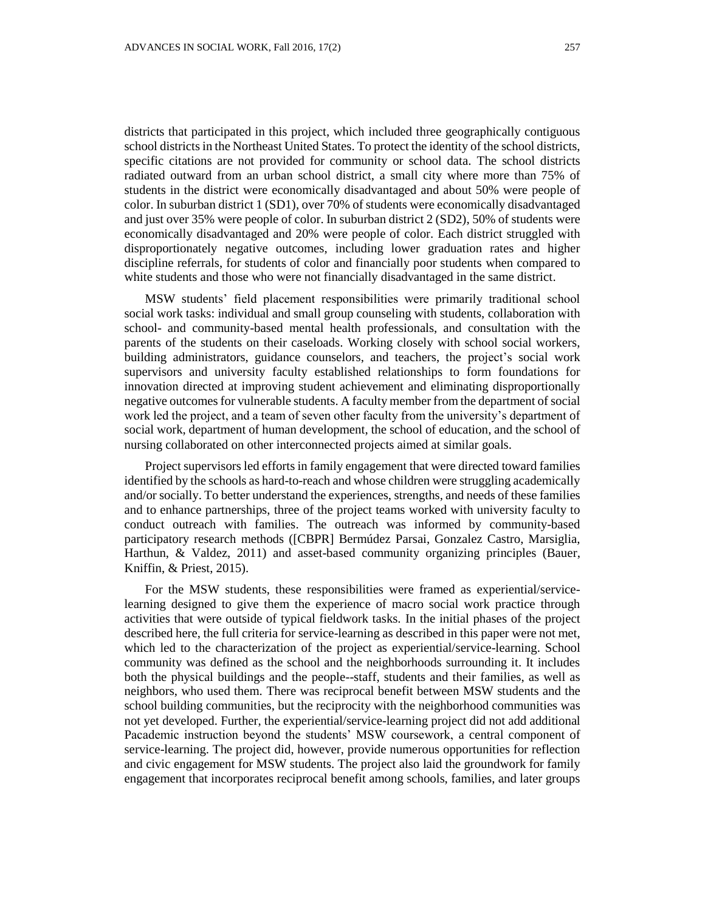districts that participated in this project, which included three geographically contiguous school districtsin the Northeast United States. To protect the identity of the school districts, specific citations are not provided for community or school data. The school districts radiated outward from an urban school district, a small city where more than 75% of students in the district were economically disadvantaged and about 50% were people of color. In suburban district 1 (SD1), over 70% of students were economically disadvantaged and just over 35% were people of color. In suburban district 2 (SD2), 50% of students were economically disadvantaged and 20% were people of color. Each district struggled with disproportionately negative outcomes, including lower graduation rates and higher discipline referrals, for students of color and financially poor students when compared to white students and those who were not financially disadvantaged in the same district.

MSW students' field placement responsibilities were primarily traditional school social work tasks: individual and small group counseling with students, collaboration with school- and community-based mental health professionals, and consultation with the parents of the students on their caseloads. Working closely with school social workers, building administrators, guidance counselors, and teachers, the project's social work supervisors and university faculty established relationships to form foundations for innovation directed at improving student achievement and eliminating disproportionally negative outcomes for vulnerable students. A faculty member from the department of social work led the project, and a team of seven other faculty from the university's department of social work, department of human development, the school of education, and the school of nursing collaborated on other interconnected projects aimed at similar goals.

Project supervisors led efforts in family engagement that were directed toward families identified by the schools as hard-to-reach and whose children were struggling academically and/or socially. To better understand the experiences, strengths, and needs of these families and to enhance partnerships, three of the project teams worked with university faculty to conduct outreach with families. The outreach was informed by community-based participatory research methods ([CBPR] Bermúdez Parsai, Gonzalez Castro, Marsiglia, Harthun, & Valdez, 2011) and asset-based community organizing principles (Bauer, Kniffin, & Priest, 2015).

For the MSW students, these responsibilities were framed as experiential/servicelearning designed to give them the experience of macro social work practice through activities that were outside of typical fieldwork tasks. In the initial phases of the project described here, the full criteria for service-learning as described in this paper were not met, which led to the characterization of the project as experiential/service-learning. School community was defined as the school and the neighborhoods surrounding it. It includes both the physical buildings and the people--staff, students and their families, as well as neighbors, who used them. There was reciprocal benefit between MSW students and the school building communities, but the reciprocity with the neighborhood communities was not yet developed. Further, the experiential/service-learning project did not add additional Pacademic instruction beyond the students' MSW coursework, a central component of service-learning. The project did, however, provide numerous opportunities for reflection and civic engagement for MSW students. The project also laid the groundwork for family engagement that incorporates reciprocal benefit among schools, families, and later groups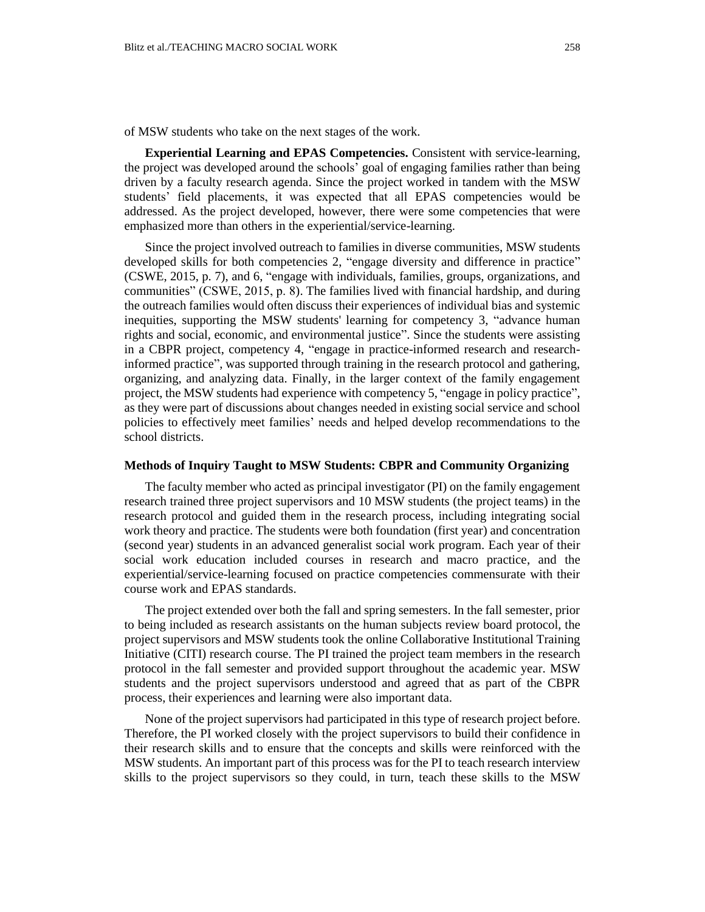of MSW students who take on the next stages of the work.

**Experiential Learning and EPAS Competencies.** Consistent with service-learning, the project was developed around the schools' goal of engaging families rather than being driven by a faculty research agenda. Since the project worked in tandem with the MSW students' field placements, it was expected that all EPAS competencies would be addressed. As the project developed, however, there were some competencies that were emphasized more than others in the experiential/service-learning.

Since the project involved outreach to families in diverse communities, MSW students developed skills for both competencies 2, "engage diversity and difference in practice" (CSWE, 2015, p. 7), and 6, "engage with individuals, families, groups, organizations, and communities" (CSWE, 2015, p. 8). The families lived with financial hardship, and during the outreach families would often discuss their experiences of individual bias and systemic inequities, supporting the MSW students' learning for competency 3, "advance human rights and social, economic, and environmental justice". Since the students were assisting in a CBPR project, competency 4, "engage in practice-informed research and researchinformed practice", was supported through training in the research protocol and gathering, organizing, and analyzing data. Finally, in the larger context of the family engagement project, the MSW students had experience with competency 5, "engage in policy practice", as they were part of discussions about changes needed in existing social service and school policies to effectively meet families' needs and helped develop recommendations to the school districts.

### **Methods of Inquiry Taught to MSW Students: CBPR and Community Organizing**

The faculty member who acted as principal investigator (PI) on the family engagement research trained three project supervisors and 10 MSW students (the project teams) in the research protocol and guided them in the research process, including integrating social work theory and practice. The students were both foundation (first year) and concentration (second year) students in an advanced generalist social work program. Each year of their social work education included courses in research and macro practice, and the experiential/service-learning focused on practice competencies commensurate with their course work and EPAS standards.

The project extended over both the fall and spring semesters. In the fall semester, prior to being included as research assistants on the human subjects review board protocol, the project supervisors and MSW students took the online Collaborative Institutional Training Initiative (CITI) research course. The PI trained the project team members in the research protocol in the fall semester and provided support throughout the academic year. MSW students and the project supervisors understood and agreed that as part of the CBPR process, their experiences and learning were also important data.

None of the project supervisors had participated in this type of research project before. Therefore, the PI worked closely with the project supervisors to build their confidence in their research skills and to ensure that the concepts and skills were reinforced with the MSW students. An important part of this process was for the PI to teach research interview skills to the project supervisors so they could, in turn, teach these skills to the MSW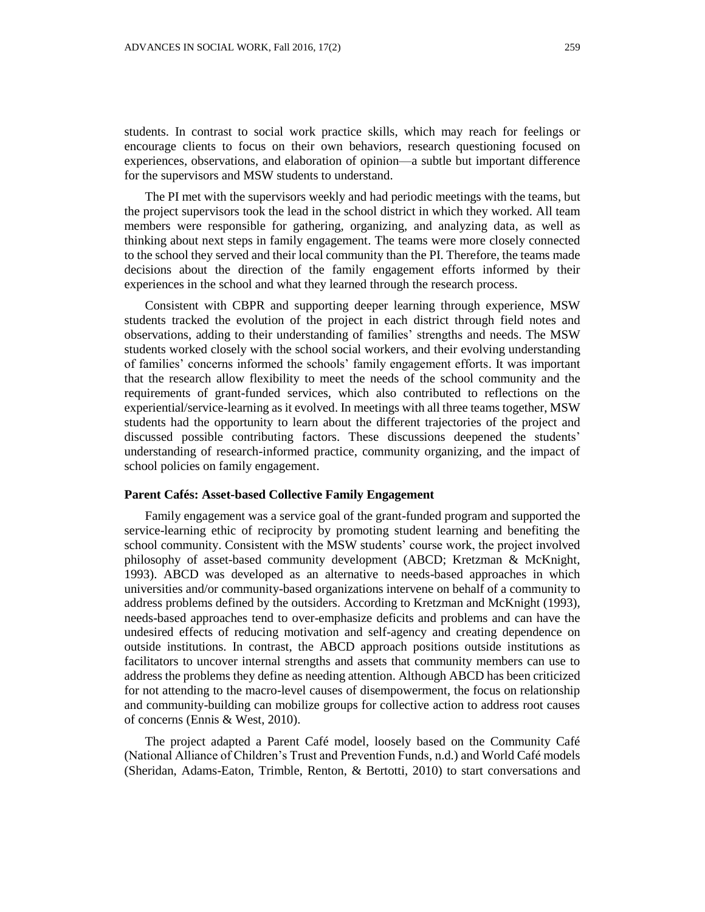students. In contrast to social work practice skills, which may reach for feelings or encourage clients to focus on their own behaviors, research questioning focused on experiences, observations, and elaboration of opinion—a subtle but important difference for the supervisors and MSW students to understand.

The PI met with the supervisors weekly and had periodic meetings with the teams, but the project supervisors took the lead in the school district in which they worked. All team members were responsible for gathering, organizing, and analyzing data, as well as thinking about next steps in family engagement. The teams were more closely connected to the school they served and their local community than the PI. Therefore, the teams made decisions about the direction of the family engagement efforts informed by their experiences in the school and what they learned through the research process.

Consistent with CBPR and supporting deeper learning through experience, MSW students tracked the evolution of the project in each district through field notes and observations, adding to their understanding of families' strengths and needs. The MSW students worked closely with the school social workers, and their evolving understanding of families' concerns informed the schools' family engagement efforts. It was important that the research allow flexibility to meet the needs of the school community and the requirements of grant-funded services, which also contributed to reflections on the experiential/service-learning as it evolved. In meetings with all three teams together, MSW students had the opportunity to learn about the different trajectories of the project and discussed possible contributing factors. These discussions deepened the students' understanding of research-informed practice, community organizing, and the impact of school policies on family engagement.

### **Parent Cafés: Asset-based Collective Family Engagement**

Family engagement was a service goal of the grant-funded program and supported the service-learning ethic of reciprocity by promoting student learning and benefiting the school community. Consistent with the MSW students' course work, the project involved philosophy of asset-based community development (ABCD; Kretzman & McKnight, 1993). ABCD was developed as an alternative to needs-based approaches in which universities and/or community-based organizations intervene on behalf of a community to address problems defined by the outsiders. According to Kretzman and McKnight (1993), needs-based approaches tend to over-emphasize deficits and problems and can have the undesired effects of reducing motivation and self-agency and creating dependence on outside institutions. In contrast, the ABCD approach positions outside institutions as facilitators to uncover internal strengths and assets that community members can use to address the problems they define as needing attention. Although ABCD has been criticized for not attending to the macro-level causes of disempowerment, the focus on relationship and community-building can mobilize groups for collective action to address root causes of concerns (Ennis & West, 2010).

The project adapted a Parent Café model, loosely based on the Community Café (National Alliance of Children's Trust and Prevention Funds, n.d.) and World Café models (Sheridan, Adams-Eaton, Trimble, Renton, & Bertotti, 2010) to start conversations and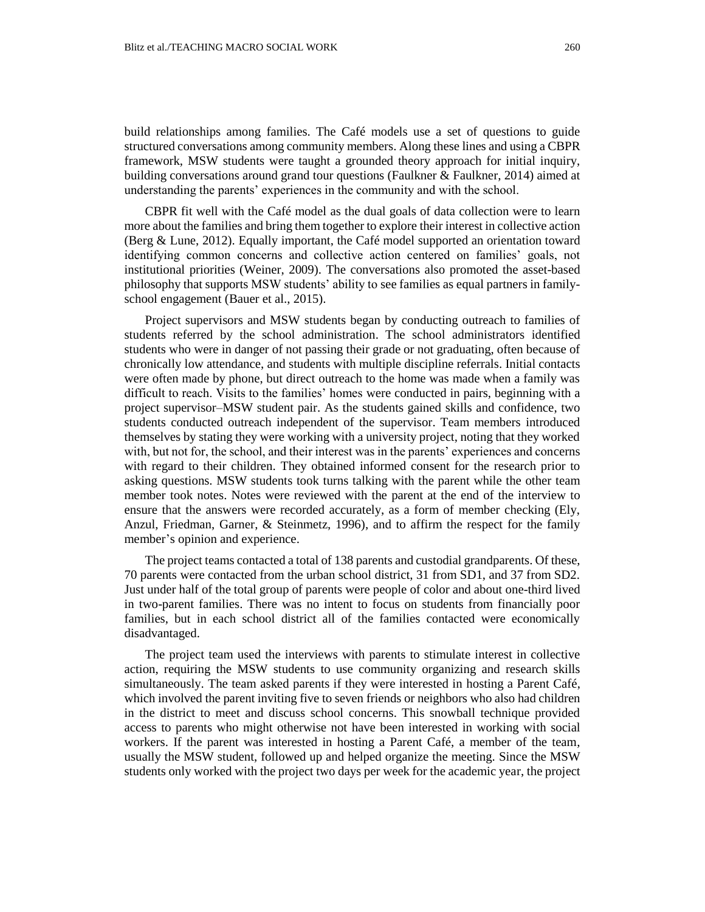build relationships among families. The Café models use a set of questions to guide structured conversations among community members. Along these lines and using a CBPR framework, MSW students were taught a grounded theory approach for initial inquiry, building conversations around grand tour questions (Faulkner & Faulkner, 2014) aimed at understanding the parents' experiences in the community and with the school.

CBPR fit well with the Café model as the dual goals of data collection were to learn more about the families and bring them together to explore their interest in collective action (Berg & Lune, 2012). Equally important, the Café model supported an orientation toward identifying common concerns and collective action centered on families' goals, not institutional priorities (Weiner, 2009). The conversations also promoted the asset-based philosophy that supports MSW students' ability to see families as equal partners in familyschool engagement (Bauer et al., 2015).

Project supervisors and MSW students began by conducting outreach to families of students referred by the school administration. The school administrators identified students who were in danger of not passing their grade or not graduating, often because of chronically low attendance, and students with multiple discipline referrals. Initial contacts were often made by phone, but direct outreach to the home was made when a family was difficult to reach. Visits to the families' homes were conducted in pairs, beginning with a project supervisor–MSW student pair. As the students gained skills and confidence, two students conducted outreach independent of the supervisor. Team members introduced themselves by stating they were working with a university project, noting that they worked with, but not for, the school, and their interest was in the parents' experiences and concerns with regard to their children. They obtained informed consent for the research prior to asking questions. MSW students took turns talking with the parent while the other team member took notes. Notes were reviewed with the parent at the end of the interview to ensure that the answers were recorded accurately, as a form of member checking (Ely, Anzul, Friedman, Garner, & Steinmetz, 1996), and to affirm the respect for the family member's opinion and experience.

The project teams contacted a total of 138 parents and custodial grandparents. Of these, 70 parents were contacted from the urban school district, 31 from SD1, and 37 from SD2. Just under half of the total group of parents were people of color and about one-third lived in two-parent families. There was no intent to focus on students from financially poor families, but in each school district all of the families contacted were economically disadvantaged.

The project team used the interviews with parents to stimulate interest in collective action, requiring the MSW students to use community organizing and research skills simultaneously. The team asked parents if they were interested in hosting a Parent Café, which involved the parent inviting five to seven friends or neighbors who also had children in the district to meet and discuss school concerns. This snowball technique provided access to parents who might otherwise not have been interested in working with social workers. If the parent was interested in hosting a Parent Café, a member of the team, usually the MSW student, followed up and helped organize the meeting. Since the MSW students only worked with the project two days per week for the academic year, the project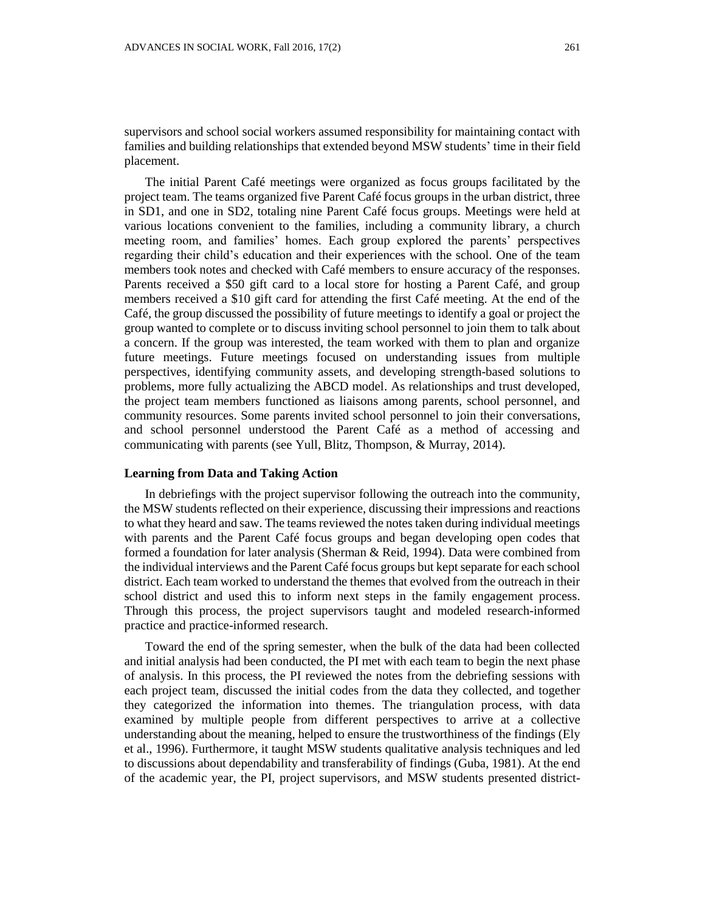supervisors and school social workers assumed responsibility for maintaining contact with families and building relationships that extended beyond MSW students' time in their field placement.

The initial Parent Café meetings were organized as focus groups facilitated by the project team. The teams organized five Parent Café focus groups in the urban district, three in SD1, and one in SD2, totaling nine Parent Café focus groups. Meetings were held at various locations convenient to the families, including a community library, a church meeting room, and families' homes. Each group explored the parents' perspectives regarding their child's education and their experiences with the school. One of the team members took notes and checked with Café members to ensure accuracy of the responses. Parents received a \$50 gift card to a local store for hosting a Parent Café, and group members received a \$10 gift card for attending the first Café meeting. At the end of the Café, the group discussed the possibility of future meetings to identify a goal or project the group wanted to complete or to discuss inviting school personnel to join them to talk about a concern. If the group was interested, the team worked with them to plan and organize future meetings. Future meetings focused on understanding issues from multiple perspectives, identifying community assets, and developing strength-based solutions to problems, more fully actualizing the ABCD model. As relationships and trust developed, the project team members functioned as liaisons among parents, school personnel, and community resources. Some parents invited school personnel to join their conversations, and school personnel understood the Parent Café as a method of accessing and communicating with parents (see Yull, Blitz, Thompson, & Murray, 2014).

#### **Learning from Data and Taking Action**

In debriefings with the project supervisor following the outreach into the community, the MSW students reflected on their experience, discussing their impressions and reactions to what they heard and saw. The teams reviewed the notes taken during individual meetings with parents and the Parent Café focus groups and began developing open codes that formed a foundation for later analysis (Sherman & Reid, 1994). Data were combined from the individual interviews and the Parent Café focus groups but kept separate for each school district. Each team worked to understand the themes that evolved from the outreach in their school district and used this to inform next steps in the family engagement process. Through this process, the project supervisors taught and modeled research-informed practice and practice-informed research.

Toward the end of the spring semester, when the bulk of the data had been collected and initial analysis had been conducted, the PI met with each team to begin the next phase of analysis. In this process, the PI reviewed the notes from the debriefing sessions with each project team, discussed the initial codes from the data they collected, and together they categorized the information into themes. The triangulation process, with data examined by multiple people from different perspectives to arrive at a collective understanding about the meaning, helped to ensure the trustworthiness of the findings (Ely et al., 1996). Furthermore, it taught MSW students qualitative analysis techniques and led to discussions about dependability and transferability of findings (Guba, 1981). At the end of the academic year, the PI, project supervisors, and MSW students presented district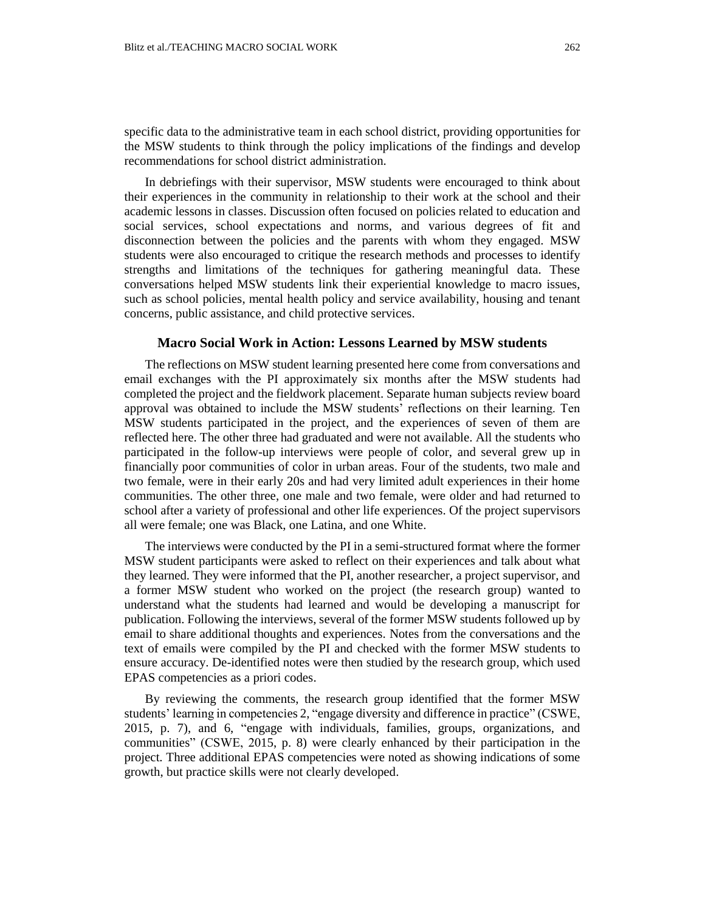specific data to the administrative team in each school district, providing opportunities for the MSW students to think through the policy implications of the findings and develop recommendations for school district administration.

In debriefings with their supervisor, MSW students were encouraged to think about their experiences in the community in relationship to their work at the school and their academic lessons in classes. Discussion often focused on policies related to education and social services, school expectations and norms, and various degrees of fit and disconnection between the policies and the parents with whom they engaged. MSW students were also encouraged to critique the research methods and processes to identify strengths and limitations of the techniques for gathering meaningful data. These conversations helped MSW students link their experiential knowledge to macro issues, such as school policies, mental health policy and service availability, housing and tenant concerns, public assistance, and child protective services.

### **Macro Social Work in Action: Lessons Learned by MSW students**

The reflections on MSW student learning presented here come from conversations and email exchanges with the PI approximately six months after the MSW students had completed the project and the fieldwork placement. Separate human subjects review board approval was obtained to include the MSW students' reflections on their learning. Ten MSW students participated in the project, and the experiences of seven of them are reflected here. The other three had graduated and were not available. All the students who participated in the follow-up interviews were people of color, and several grew up in financially poor communities of color in urban areas. Four of the students, two male and two female, were in their early 20s and had very limited adult experiences in their home communities. The other three, one male and two female, were older and had returned to school after a variety of professional and other life experiences. Of the project supervisors all were female; one was Black, one Latina, and one White.

The interviews were conducted by the PI in a semi-structured format where the former MSW student participants were asked to reflect on their experiences and talk about what they learned. They were informed that the PI, another researcher, a project supervisor, and a former MSW student who worked on the project (the research group) wanted to understand what the students had learned and would be developing a manuscript for publication. Following the interviews, several of the former MSW students followed up by email to share additional thoughts and experiences. Notes from the conversations and the text of emails were compiled by the PI and checked with the former MSW students to ensure accuracy. De-identified notes were then studied by the research group, which used EPAS competencies as a priori codes.

By reviewing the comments, the research group identified that the former MSW students' learning in competencies 2, "engage diversity and difference in practice" (CSWE, 2015, p. 7), and 6, "engage with individuals, families, groups, organizations, and communities" (CSWE, 2015, p. 8) were clearly enhanced by their participation in the project. Three additional EPAS competencies were noted as showing indications of some growth, but practice skills were not clearly developed.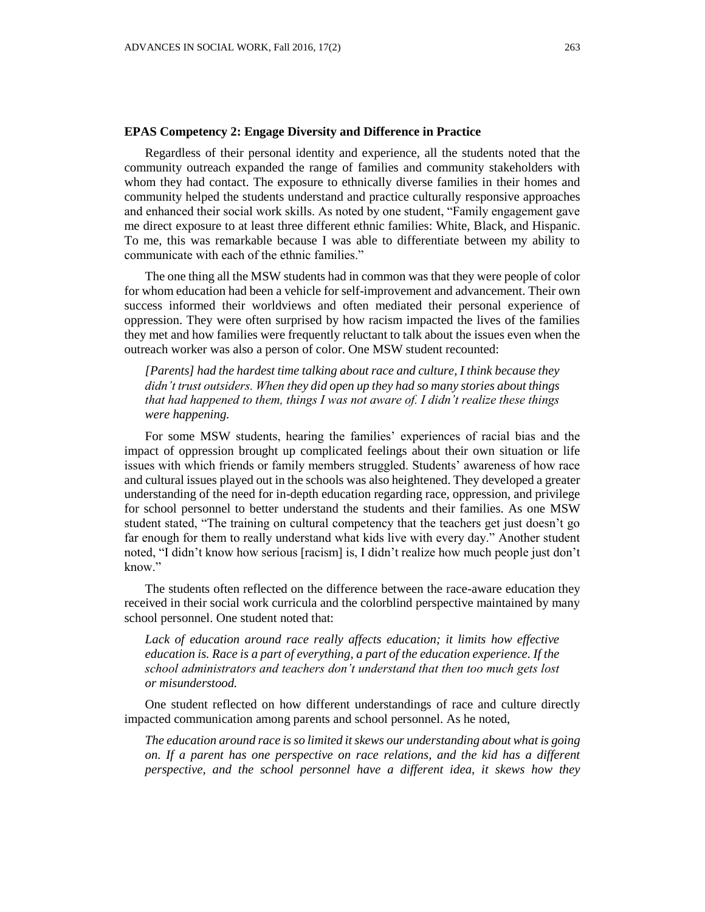#### **EPAS Competency 2: Engage Diversity and Difference in Practice**

Regardless of their personal identity and experience, all the students noted that the community outreach expanded the range of families and community stakeholders with whom they had contact. The exposure to ethnically diverse families in their homes and community helped the students understand and practice culturally responsive approaches and enhanced their social work skills. As noted by one student, "Family engagement gave me direct exposure to at least three different ethnic families: White, Black, and Hispanic. To me, this was remarkable because I was able to differentiate between my ability to communicate with each of the ethnic families."

The one thing all the MSW students had in common was that they were people of color for whom education had been a vehicle for self-improvement and advancement. Their own success informed their worldviews and often mediated their personal experience of oppression. They were often surprised by how racism impacted the lives of the families they met and how families were frequently reluctant to talk about the issues even when the outreach worker was also a person of color. One MSW student recounted:

*[Parents] had the hardest time talking about race and culture, I think because they didn't trust outsiders. When they did open up they had so many stories about things that had happened to them, things I was not aware of. I didn't realize these things were happening.* 

For some MSW students, hearing the families' experiences of racial bias and the impact of oppression brought up complicated feelings about their own situation or life issues with which friends or family members struggled. Students' awareness of how race and cultural issues played out in the schools was also heightened. They developed a greater understanding of the need for in-depth education regarding race, oppression, and privilege for school personnel to better understand the students and their families. As one MSW student stated, "The training on cultural competency that the teachers get just doesn't go far enough for them to really understand what kids live with every day." Another student noted, "I didn't know how serious [racism] is, I didn't realize how much people just don't know."

The students often reflected on the difference between the race-aware education they received in their social work curricula and the colorblind perspective maintained by many school personnel. One student noted that:

Lack of education around race really affects education; it limits how effective *education is. Race is a part of everything, a part of the education experience. If the school administrators and teachers don't understand that then too much gets lost or misunderstood.*

One student reflected on how different understandings of race and culture directly impacted communication among parents and school personnel. As he noted,

*The education around race is so limited it skews our understanding about what is going on. If a parent has one perspective on race relations, and the kid has a different perspective, and the school personnel have a different idea, it skews how they*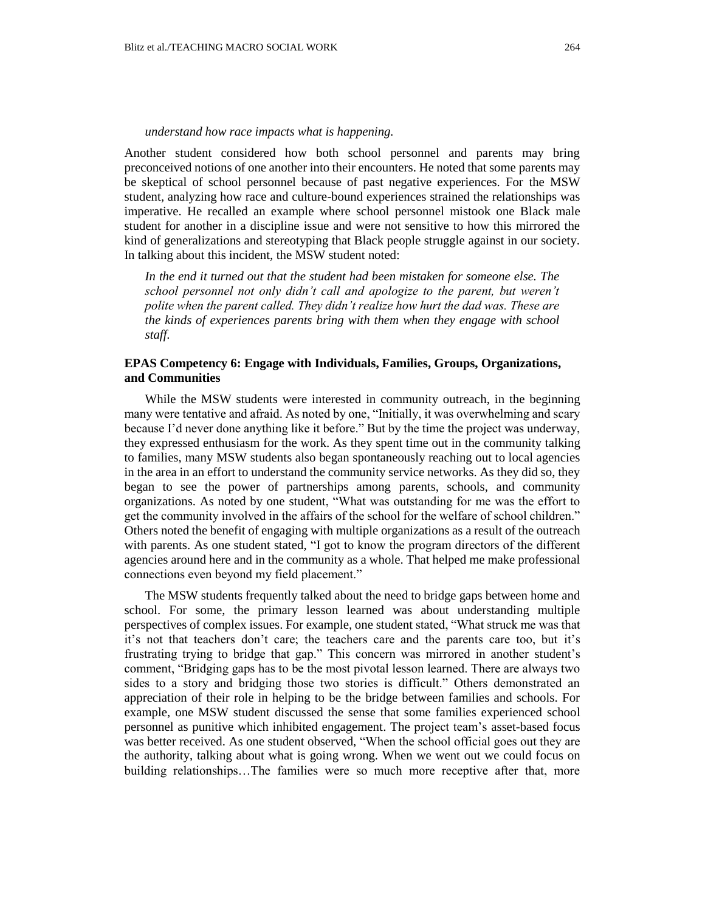#### *understand how race impacts what is happening.*

Another student considered how both school personnel and parents may bring preconceived notions of one another into their encounters. He noted that some parents may be skeptical of school personnel because of past negative experiences. For the MSW student, analyzing how race and culture-bound experiences strained the relationships was imperative. He recalled an example where school personnel mistook one Black male student for another in a discipline issue and were not sensitive to how this mirrored the kind of generalizations and stereotyping that Black people struggle against in our society. In talking about this incident, the MSW student noted:

In the end it turned out that the student had been mistaken for someone else. The *school personnel not only didn't call and apologize to the parent, but weren't polite when the parent called. They didn't realize how hurt the dad was. These are the kinds of experiences parents bring with them when they engage with school staff.*

## **EPAS Competency 6: Engage with Individuals, Families, Groups, Organizations, and Communities**

While the MSW students were interested in community outreach, in the beginning many were tentative and afraid. As noted by one, "Initially, it was overwhelming and scary because I'd never done anything like it before." But by the time the project was underway, they expressed enthusiasm for the work. As they spent time out in the community talking to families, many MSW students also began spontaneously reaching out to local agencies in the area in an effort to understand the community service networks. As they did so, they began to see the power of partnerships among parents, schools, and community organizations. As noted by one student, "What was outstanding for me was the effort to get the community involved in the affairs of the school for the welfare of school children." Others noted the benefit of engaging with multiple organizations as a result of the outreach with parents. As one student stated, "I got to know the program directors of the different agencies around here and in the community as a whole. That helped me make professional connections even beyond my field placement."

The MSW students frequently talked about the need to bridge gaps between home and school. For some, the primary lesson learned was about understanding multiple perspectives of complex issues. For example, one student stated, "What struck me was that it's not that teachers don't care; the teachers care and the parents care too, but it's frustrating trying to bridge that gap." This concern was mirrored in another student's comment, "Bridging gaps has to be the most pivotal lesson learned. There are always two sides to a story and bridging those two stories is difficult." Others demonstrated an appreciation of their role in helping to be the bridge between families and schools. For example, one MSW student discussed the sense that some families experienced school personnel as punitive which inhibited engagement. The project team's asset-based focus was better received. As one student observed, "When the school official goes out they are the authority, talking about what is going wrong. When we went out we could focus on building relationships…The families were so much more receptive after that, more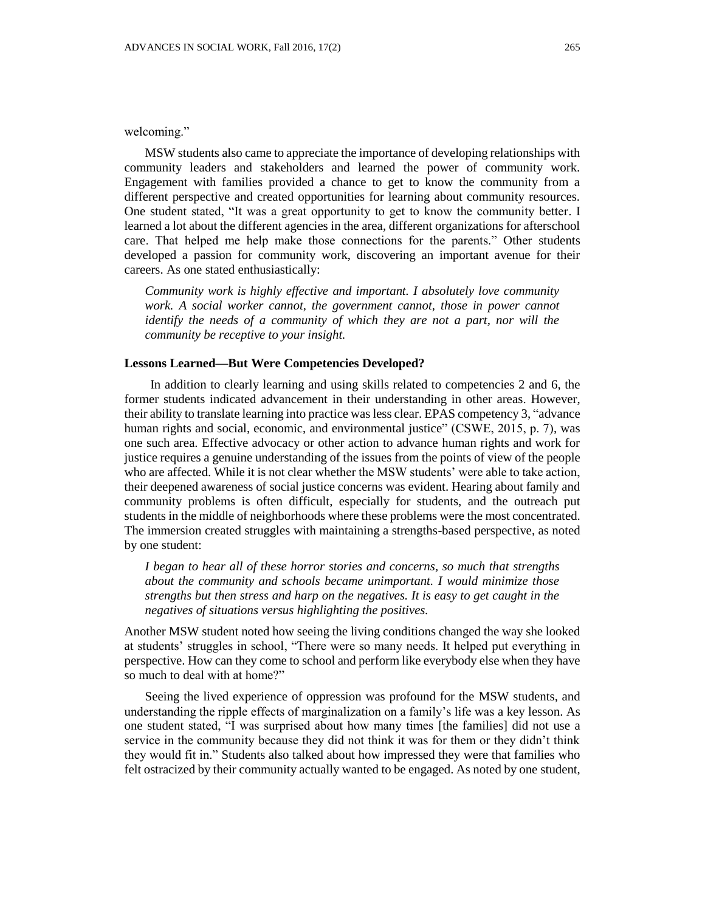MSW students also came to appreciate the importance of developing relationships with community leaders and stakeholders and learned the power of community work. Engagement with families provided a chance to get to know the community from a different perspective and created opportunities for learning about community resources. One student stated, "It was a great opportunity to get to know the community better. I learned a lot about the different agencies in the area, different organizations for afterschool care. That helped me help make those connections for the parents." Other students developed a passion for community work, discovering an important avenue for their careers. As one stated enthusiastically:

*Community work is highly effective and important. I absolutely love community work. A social worker cannot, the government cannot, those in power cannot identify the needs of a community of which they are not a part, nor will the community be receptive to your insight.* 

## **Lessons Learned—But Were Competencies Developed?**

In addition to clearly learning and using skills related to competencies 2 and 6, the former students indicated advancement in their understanding in other areas. However, their ability to translate learning into practice was less clear. EPAS competency 3, "advance human rights and social, economic, and environmental justice" (CSWE, 2015, p. 7), was one such area. Effective advocacy or other action to advance human rights and work for justice requires a genuine understanding of the issues from the points of view of the people who are affected. While it is not clear whether the MSW students' were able to take action, their deepened awareness of social justice concerns was evident. Hearing about family and community problems is often difficult, especially for students, and the outreach put students in the middle of neighborhoods where these problems were the most concentrated. The immersion created struggles with maintaining a strengths-based perspective, as noted by one student:

*I began to hear all of these horror stories and concerns, so much that strengths about the community and schools became unimportant. I would minimize those strengths but then stress and harp on the negatives. It is easy to get caught in the negatives of situations versus highlighting the positives.*

Another MSW student noted how seeing the living conditions changed the way she looked at students' struggles in school, "There were so many needs. It helped put everything in perspective. How can they come to school and perform like everybody else when they have so much to deal with at home?"

Seeing the lived experience of oppression was profound for the MSW students, and understanding the ripple effects of marginalization on a family's life was a key lesson. As one student stated, "I was surprised about how many times [the families] did not use a service in the community because they did not think it was for them or they didn't think they would fit in." Students also talked about how impressed they were that families who felt ostracized by their community actually wanted to be engaged. As noted by one student,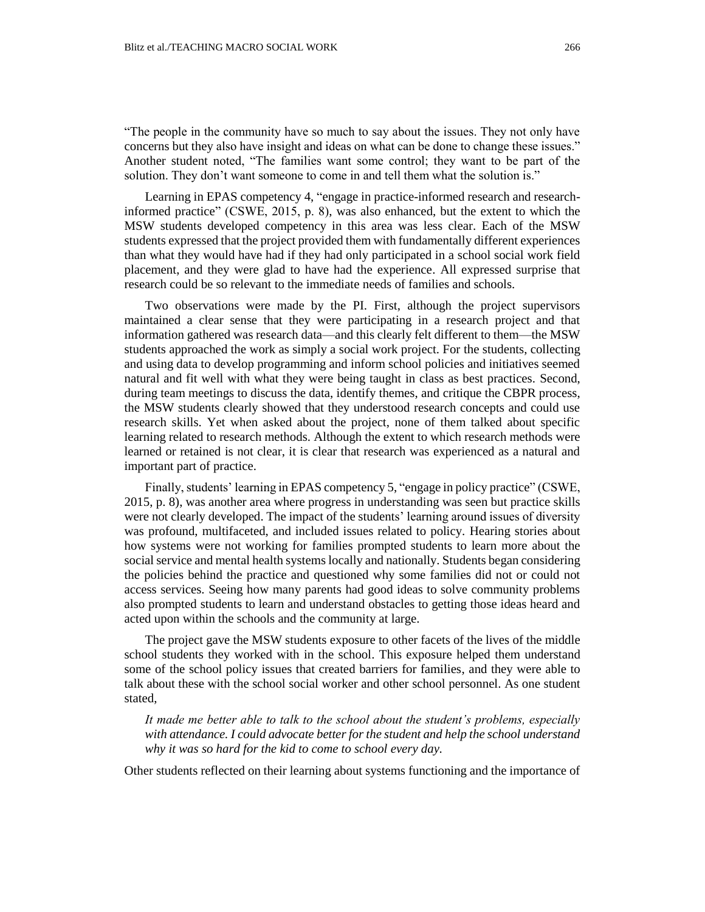"The people in the community have so much to say about the issues. They not only have concerns but they also have insight and ideas on what can be done to change these issues." Another student noted, "The families want some control; they want to be part of the solution. They don't want someone to come in and tell them what the solution is."

Learning in EPAS competency 4, "engage in practice-informed research and researchinformed practice" (CSWE, 2015, p. 8), was also enhanced, but the extent to which the MSW students developed competency in this area was less clear. Each of the MSW students expressed that the project provided them with fundamentally different experiences than what they would have had if they had only participated in a school social work field placement, and they were glad to have had the experience. All expressed surprise that research could be so relevant to the immediate needs of families and schools.

Two observations were made by the PI. First, although the project supervisors maintained a clear sense that they were participating in a research project and that information gathered was research data—and this clearly felt different to them—the MSW students approached the work as simply a social work project. For the students, collecting and using data to develop programming and inform school policies and initiatives seemed natural and fit well with what they were being taught in class as best practices. Second, during team meetings to discuss the data, identify themes, and critique the CBPR process, the MSW students clearly showed that they understood research concepts and could use research skills. Yet when asked about the project, none of them talked about specific learning related to research methods. Although the extent to which research methods were learned or retained is not clear, it is clear that research was experienced as a natural and important part of practice.

Finally, students' learning in EPAS competency 5, "engage in policy practice" (CSWE, 2015, p. 8), was another area where progress in understanding was seen but practice skills were not clearly developed. The impact of the students' learning around issues of diversity was profound, multifaceted, and included issues related to policy. Hearing stories about how systems were not working for families prompted students to learn more about the social service and mental health systems locally and nationally. Students began considering the policies behind the practice and questioned why some families did not or could not access services. Seeing how many parents had good ideas to solve community problems also prompted students to learn and understand obstacles to getting those ideas heard and acted upon within the schools and the community at large.

The project gave the MSW students exposure to other facets of the lives of the middle school students they worked with in the school. This exposure helped them understand some of the school policy issues that created barriers for families, and they were able to talk about these with the school social worker and other school personnel. As one student stated,

*It made me better able to talk to the school about the student's problems, especially with attendance. I could advocate better for the student and help the school understand why it was so hard for the kid to come to school every day.*

Other students reflected on their learning about systems functioning and the importance of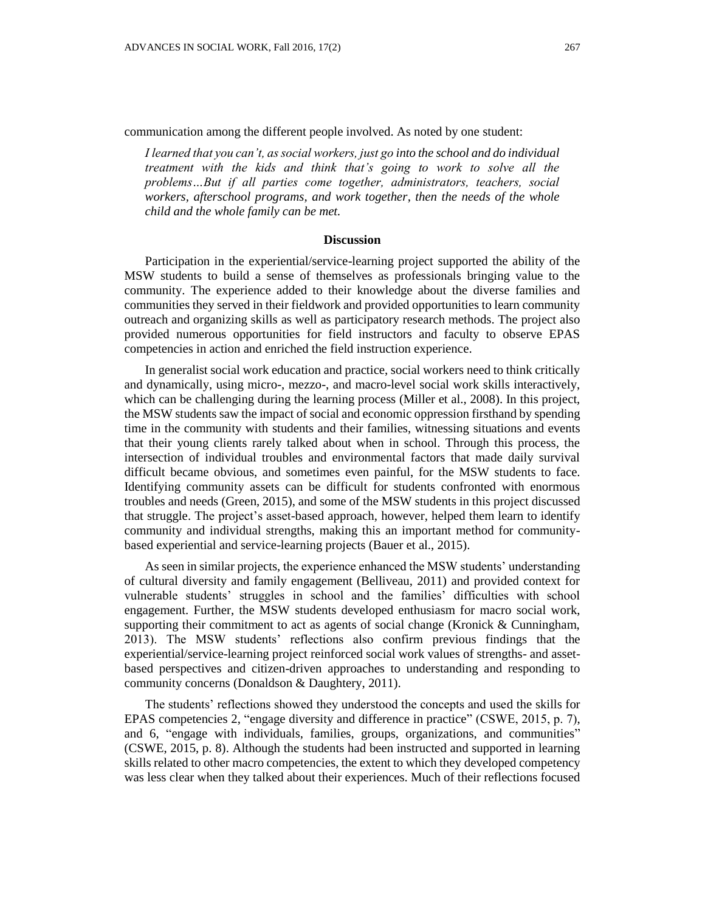communication among the different people involved. As noted by one student:

*I learned that you can't, as social workers, just go into the school and do individual treatment with the kids and think that's going to work to solve all the problems…But if all parties come together, administrators, teachers, social workers, afterschool programs, and work together, then the needs of the whole child and the whole family can be met.*

#### **Discussion**

Participation in the experiential/service-learning project supported the ability of the MSW students to build a sense of themselves as professionals bringing value to the community. The experience added to their knowledge about the diverse families and communities they served in their fieldwork and provided opportunities to learn community outreach and organizing skills as well as participatory research methods. The project also provided numerous opportunities for field instructors and faculty to observe EPAS competencies in action and enriched the field instruction experience.

In generalist social work education and practice, social workers need to think critically and dynamically, using micro-, mezzo-, and macro-level social work skills interactively, which can be challenging during the learning process (Miller et al., 2008). In this project, the MSW students saw the impact of social and economic oppression firsthand by spending time in the community with students and their families, witnessing situations and events that their young clients rarely talked about when in school. Through this process, the intersection of individual troubles and environmental factors that made daily survival difficult became obvious, and sometimes even painful, for the MSW students to face. Identifying community assets can be difficult for students confronted with enormous troubles and needs (Green, 2015), and some of the MSW students in this project discussed that struggle. The project's asset-based approach, however, helped them learn to identify community and individual strengths, making this an important method for communitybased experiential and service-learning projects (Bauer et al., 2015).

As seen in similar projects, the experience enhanced the MSW students' understanding of cultural diversity and family engagement (Belliveau, 2011) and provided context for vulnerable students' struggles in school and the families' difficulties with school engagement. Further, the MSW students developed enthusiasm for macro social work, supporting their commitment to act as agents of social change (Kronick & Cunningham, 2013). The MSW students' reflections also confirm previous findings that the experiential/service-learning project reinforced social work values of strengths- and assetbased perspectives and citizen-driven approaches to understanding and responding to community concerns (Donaldson & Daughtery, 2011).

The students' reflections showed they understood the concepts and used the skills for EPAS competencies 2, "engage diversity and difference in practice" (CSWE, 2015, p. 7), and 6, "engage with individuals, families, groups, organizations, and communities" (CSWE, 2015, p. 8). Although the students had been instructed and supported in learning skills related to other macro competencies, the extent to which they developed competency was less clear when they talked about their experiences. Much of their reflections focused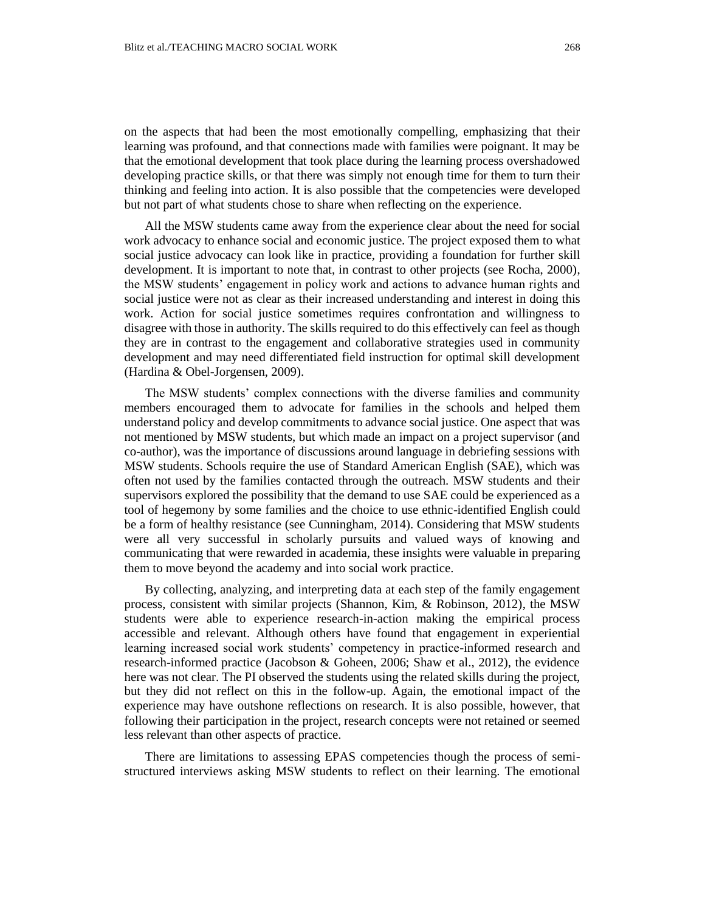on the aspects that had been the most emotionally compelling, emphasizing that their learning was profound, and that connections made with families were poignant. It may be that the emotional development that took place during the learning process overshadowed developing practice skills, or that there was simply not enough time for them to turn their thinking and feeling into action. It is also possible that the competencies were developed but not part of what students chose to share when reflecting on the experience.

All the MSW students came away from the experience clear about the need for social work advocacy to enhance social and economic justice. The project exposed them to what social justice advocacy can look like in practice, providing a foundation for further skill development. It is important to note that, in contrast to other projects (see Rocha, 2000), the MSW students' engagement in policy work and actions to advance human rights and social justice were not as clear as their increased understanding and interest in doing this work. Action for social justice sometimes requires confrontation and willingness to disagree with those in authority. The skills required to do this effectively can feel as though they are in contrast to the engagement and collaborative strategies used in community development and may need differentiated field instruction for optimal skill development (Hardina & Obel-Jorgensen, 2009).

The MSW students' complex connections with the diverse families and community members encouraged them to advocate for families in the schools and helped them understand policy and develop commitments to advance social justice. One aspect that was not mentioned by MSW students, but which made an impact on a project supervisor (and co-author), was the importance of discussions around language in debriefing sessions with MSW students. Schools require the use of Standard American English (SAE), which was often not used by the families contacted through the outreach. MSW students and their supervisors explored the possibility that the demand to use SAE could be experienced as a tool of hegemony by some families and the choice to use ethnic-identified English could be a form of healthy resistance (see Cunningham, 2014). Considering that MSW students were all very successful in scholarly pursuits and valued ways of knowing and communicating that were rewarded in academia, these insights were valuable in preparing them to move beyond the academy and into social work practice.

By collecting, analyzing, and interpreting data at each step of the family engagement process, consistent with similar projects (Shannon, Kim, & Robinson, 2012), the MSW students were able to experience research-in-action making the empirical process accessible and relevant. Although others have found that engagement in experiential learning increased social work students' competency in practice-informed research and research-informed practice (Jacobson & Goheen, 2006; Shaw et al., 2012), the evidence here was not clear. The PI observed the students using the related skills during the project, but they did not reflect on this in the follow-up. Again, the emotional impact of the experience may have outshone reflections on research. It is also possible, however, that following their participation in the project, research concepts were not retained or seemed less relevant than other aspects of practice.

There are limitations to assessing EPAS competencies though the process of semistructured interviews asking MSW students to reflect on their learning. The emotional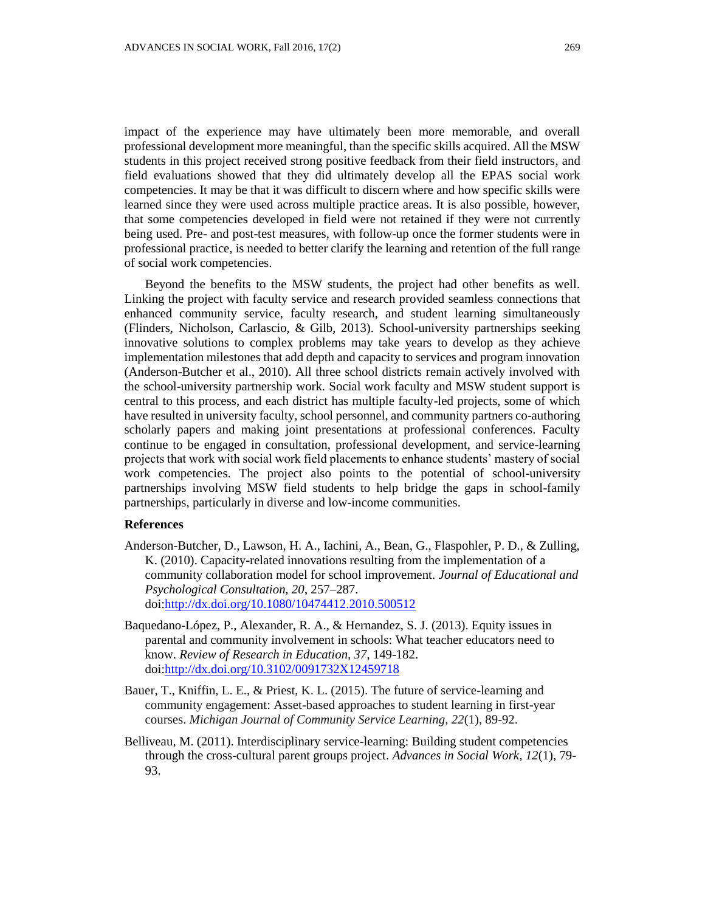impact of the experience may have ultimately been more memorable, and overall professional development more meaningful, than the specific skills acquired. All the MSW students in this project received strong positive feedback from their field instructors, and field evaluations showed that they did ultimately develop all the EPAS social work competencies. It may be that it was difficult to discern where and how specific skills were learned since they were used across multiple practice areas. It is also possible, however, that some competencies developed in field were not retained if they were not currently being used. Pre- and post-test measures, with follow-up once the former students were in professional practice, is needed to better clarify the learning and retention of the full range of social work competencies.

Beyond the benefits to the MSW students, the project had other benefits as well. Linking the project with faculty service and research provided seamless connections that enhanced community service, faculty research, and student learning simultaneously (Flinders, Nicholson, Carlascio, & Gilb, 2013). School-university partnerships seeking innovative solutions to complex problems may take years to develop as they achieve implementation milestones that add depth and capacity to services and program innovation (Anderson-Butcher et al., 2010). All three school districts remain actively involved with the school-university partnership work. Social work faculty and MSW student support is central to this process, and each district has multiple faculty-led projects, some of which have resulted in university faculty, school personnel, and community partners co-authoring scholarly papers and making joint presentations at professional conferences. Faculty continue to be engaged in consultation, professional development, and service-learning projects that work with social work field placements to enhance students' mastery of social work competencies. The project also points to the potential of school-university partnerships involving MSW field students to help bridge the gaps in school-family partnerships, particularly in diverse and low-income communities.

## **References**

- Anderson-Butcher, D., Lawson, H. A., Iachini, A., Bean, G., Flaspohler, P. D., & Zulling, K. (2010). Capacity-related innovations resulting from the implementation of a community collaboration model for school improvement. *Journal of Educational and Psychological Consultation, 20*, 257–287. doi[:http://dx.doi.org/10.1080/10474412.2010.500512](http://dx.doi.org/10.1080/10474412.2010.500512)
- Baquedano-López, P., Alexander, R. A., & Hernandez, S. J. (2013). Equity issues in parental and community involvement in schools: What teacher educators need to know. *Review of Research in Education, 37*, 149-182. doi[:http://dx.doi.org/10.3102/0091732X12459718](http://dx.doi.org/10.3102/0091732X12459718)
- Bauer, T., Kniffin, L. E., & Priest, K. L. (2015). The future of service-learning and community engagement: Asset-based approaches to student learning in first-year courses. *Michigan Journal of Community Service Learning, 22*(1), 89-92.
- Belliveau, M. (2011). Interdisciplinary service-learning: Building student competencies through the cross-cultural parent groups project. *Advances in Social Work, 12*(1), 79- 93.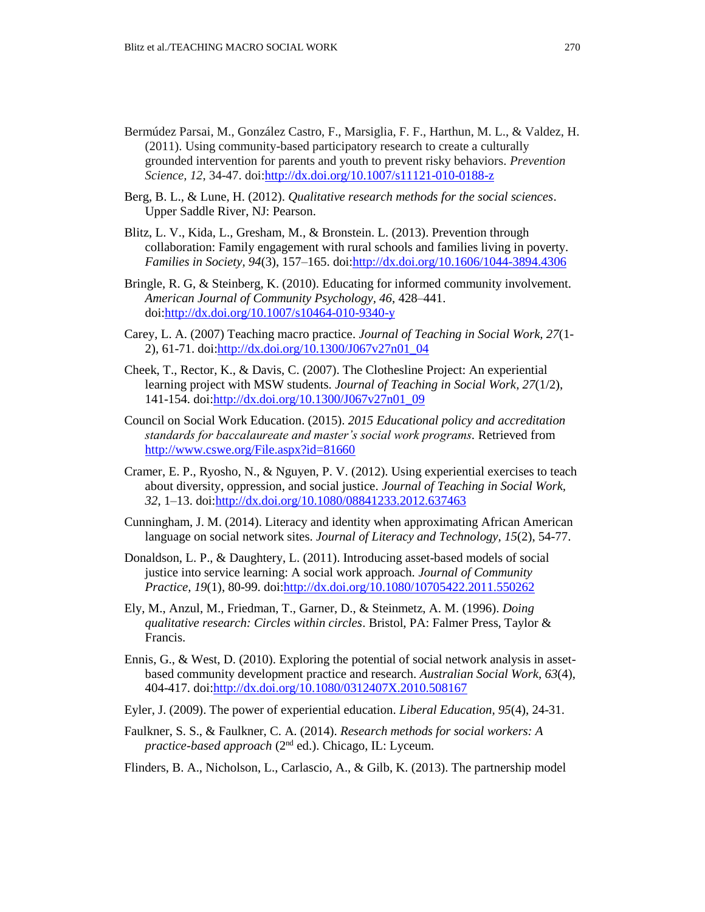- Bermúdez Parsai, M., González Castro, F., Marsiglia, F. F., Harthun, M. L., & Valdez, H. (2011). Using community-based participatory research to create a culturally grounded intervention for parents and youth to prevent risky behaviors. *Prevention Science, 12*, 34-47. doi[:http://dx.doi.org/10.1007/s11121-010-0188-z](http://dx.doi.org/10.1007/s11121-010-0188-z)
- Berg, B. L., & Lune, H. (2012). *Qualitative research methods for the social sciences*. Upper Saddle River, NJ: Pearson.
- Blitz, L. V., Kida, L., Gresham, M., & Bronstein. L. (2013). Prevention through collaboration: Family engagement with rural schools and families living in poverty*. Families in Society, 94*(3), 157–165. doi[:http://dx.doi.org/10.1606/1044-3894.4306](http://dx.doi.org/10.1606/1044-3894.4306)
- Bringle, R. G, & Steinberg, K. (2010). Educating for informed community involvement. *American Journal of Community Psychology, 46*, 428–441. doi[:http://dx.doi.org/10.1007/s10464-010-9340-y](http://dx.doi.org/10.1007/s10464-010-9340-y)
- Carey, L. A. (2007) Teaching macro practice. *Journal of Teaching in Social Work, 27*(1- 2), 61-71. doi[:http://dx.doi.org/10.1300/J067v27n01\\_04](http://dx.doi.org/10.1300/J067v27n01_04)
- Cheek, T., Rector, K., & Davis, C. (2007). The Clothesline Project: An experiential learning project with MSW students. *Journal of Teaching in Social Work, 27*(1/2), 141-154. doi[:http://dx.doi.org/10.1300/J067v27n01\\_09](http://dx.doi.org/10.1300/J067v27n01_09)
- Council on Social Work Education. (2015). *2015 Educational policy and accreditation standards for baccalaureate and master's social work programs.* Retrieved from <http://www.cswe.org/File.aspx?id=81660>
- Cramer, E. P., Ryosho, N., & Nguyen, P. V. (2012). Using experiential exercises to teach about diversity, oppression, and social justice. *Journal of Teaching in Social Work, 32*, 1–13. doi[:http://dx.doi.org/10.1080/08841233.2012.637463](http://dx.doi.org/10.1080/08841233.2012.637463)
- Cunningham, J. M. (2014). Literacy and identity when approximating African American language on social network sites. *Journal of Literacy and Technology, 15*(2), 54-77.
- Donaldson, L. P., & Daughtery, L. (2011). Introducing asset-based models of social justice into service learning: A social work approach. *Journal of Community Practice, 19*(1), 80-99. doi[:http://dx.doi.org/10.1080/10705422.2011.550262](http://dx.doi.org/10.1080/10705422.2011.550262)
- Ely, M., Anzul, M., Friedman, T., Garner, D., & Steinmetz, A. M. (1996). *Doing qualitative research: Circles within circles*. Bristol, PA: Falmer Press, Taylor & Francis.
- Ennis, G., & West, D. (2010). Exploring the potential of social network analysis in assetbased community development practice and research. *Australian Social Work, 63*(4), 404-417. doi[:http://dx.doi.org/10.1080/0312407X.2010.508167](http://dx.doi.org/10.1080/0312407X.2010.508167)
- Eyler, J. (2009). The power of experiential education. *Liberal Education, 95*(4), 24-31.
- Faulkner, S. S., & Faulkner, C. A. (2014). *Research methods for social workers: A*  practice-based approach (2<sup>nd</sup> ed.). Chicago, IL: Lyceum.
- Flinders, B. A., Nicholson, L., Carlascio, A., & Gilb, K. (2013). The partnership model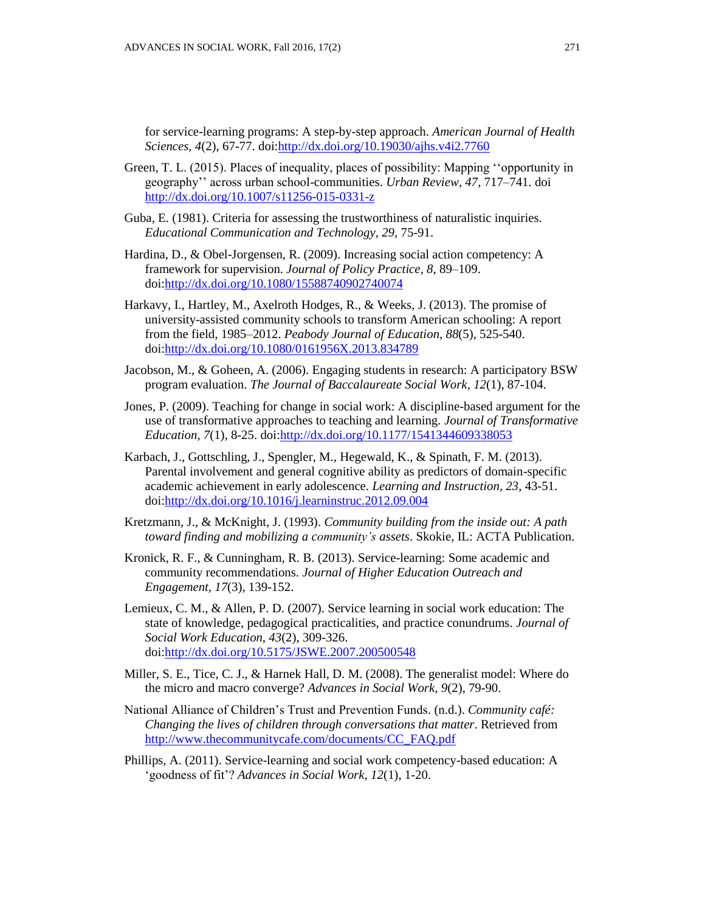for service-learning programs: A step-by-step approach. *American Journal of Health Sciences, 4*(2), 67-77. doi[:http://dx.doi.org/10.19030/ajhs.v4i2.7760](http://dx.doi.org/10.19030/ajhs.v4i2.7760)

- Green, T. L. (2015). Places of inequality, places of possibility: Mapping ''opportunity in geography'' across urban school-communities. *Urban Review, 47*, 717–741. doi <http://dx.doi.org/10.1007/s11256-015-0331-z>
- Guba, E. (1981). Criteria for assessing the trustworthiness of naturalistic inquiries. *Educational Communication and Technology, 29*, 75-91.
- Hardina, D., & Obel-Jorgensen, R. (2009). Increasing social action competency: A framework for supervision. *Journal of Policy Practice, 8*, 89–109. doi[:http://dx.doi.org/10.1080/15588740902740074](http://dx.doi.org/10.1080/15588740902740074)
- Harkavy, I., Hartley, M., Axelroth Hodges, R., & Weeks, J. (2013). The promise of university-assisted community schools to transform American schooling: A report from the field, 1985–2012. *Peabody Journal of Education, 88*(5), 525-540. doi[:http://dx.doi.org/10.1080/0161956X.2013.834789](http://dx.doi.org/10.1080/0161956X.2013.834789)
- Jacobson, M., & Goheen, A. (2006). Engaging students in research: A participatory BSW program evaluation. *The Journal of Baccalaureate Social Work, 12*(1), 87-104.
- Jones, P. (2009). Teaching for change in social work: A discipline-based argument for the use of transformative approaches to teaching and learning. *Journal of Transformative Education, 7*(1), 8-25. doi[:http://dx.doi.org/10.1177/1541344609338053](http://dx.doi.org/10.1177/1541344609338053)
- Karbach, J., Gottschling, J., Spengler, M., Hegewald, K., & Spinath, F. M. (2013). Parental involvement and general cognitive ability as predictors of domain-specific academic achievement in early adolescence. *Learning and Instruction, 23*, 43-51. doi[:http://dx.doi.org/10.1016/j.learninstruc.2012.09.004](http://dx.doi.org/10.1016/j.learninstruc.2012.09.004)
- Kretzmann, J., & McKnight, J. (1993). *Community building from the inside out: A path toward finding and mobilizing a community's assets*. Skokie, IL: ACTA Publication.
- Kronick, R. F., & Cunningham, R. B. (2013). Service-learning: Some academic and community recommendations. *Journal of Higher Education Outreach and Engagement, 17*(3), 139-152.
- Lemieux, C. M., & Allen, P. D. (2007). Service learning in social work education: The state of knowledge, pedagogical practicalities, and practice conundrums. *Journal of Social Work Education, 43*(2), 309-326. doi[:http://dx.doi.org/10.5175/JSWE.2007.200500548](http://dx.doi.org/10.5175/JSWE.2007.200500548)
- Miller, S. E., Tice, C. J., & Harnek Hall, D. M. (2008). The generalist model: Where do the micro and macro converge? *Advances in Social Work, 9*(2), 79-90.
- National Alliance of Children's Trust and Prevention Funds. (n.d.). *Community café: Changing the lives of children through conversations that matter*. Retrieved from [http://www.thecommunitycafe.com/documents/CC\\_FAQ.pdf](http://www.thecommunitycafe.com/documents/CC_FAQ.pdf)
- Phillips, A. (2011). Service-learning and social work competency-based education: A 'goodness of fit'? *Advances in Social Work, 12*(1), 1-20.